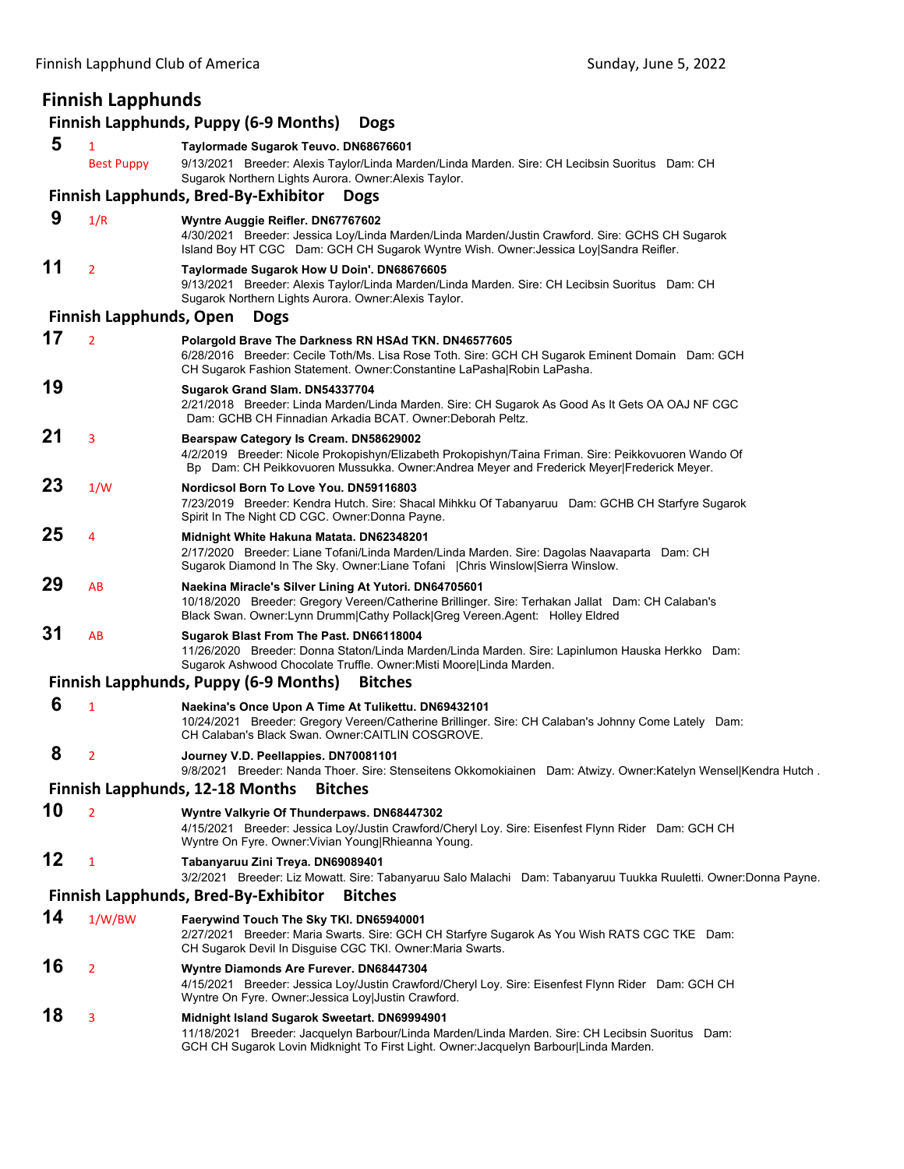## **Finnish Lapphunds**

## **Finnish Lapphunds, Puppy (6‐9 Months) Dogs**

| 5  | 1<br><b>Best Puppy</b>         | Taylormade Sugarok Teuvo. DN68676601<br>9/13/2021 Breeder: Alexis Taylor/Linda Marden/Linda Marden. Sire: CH Lecibsin Suoritus Dam: CH                                                                                                      |
|----|--------------------------------|---------------------------------------------------------------------------------------------------------------------------------------------------------------------------------------------------------------------------------------------|
|    |                                | Sugarok Northern Lights Aurora. Owner: Alexis Taylor.<br><b>Finnish Lapphunds, Bred-By-Exhibitor</b><br><b>Dogs</b>                                                                                                                         |
| 9  |                                |                                                                                                                                                                                                                                             |
|    | 1/R                            | Wyntre Auggie Reifler. DN67767602<br>4/30/2021 Breeder: Jessica Loy/Linda Marden/Linda Marden/Justin Crawford. Sire: GCHS CH Sugarok<br>Island Boy HT CGC Dam: GCH CH Sugarok Wyntre Wish. Owner: Jessica Loy Sandra Reifler.               |
| 11 | $\overline{2}$                 | Taylormade Sugarok How U Doin'. DN68676605<br>9/13/2021 Breeder: Alexis Taylor/Linda Marden/Linda Marden. Sire: CH Lecibsin Suoritus Dam: CH<br>Sugarok Northern Lights Aurora. Owner: Alexis Taylor.                                       |
|    | <b>Finnish Lapphunds, Open</b> | <b>Dogs</b>                                                                                                                                                                                                                                 |
| 17 | $\overline{2}$                 | Polargold Brave The Darkness RN HSAd TKN. DN46577605<br>6/28/2016 Breeder: Cecile Toth/Ms. Lisa Rose Toth. Sire: GCH CH Sugarok Eminent Domain Dam: GCH<br>CH Sugarok Fashion Statement. Owner: Constantine LaPasha Robin LaPasha.          |
| 19 |                                | Sugarok Grand Slam. DN54337704<br>2/21/2018 Breeder: Linda Marden/Linda Marden. Sire: CH Sugarok As Good As It Gets OA OAJ NF CGC<br>Dam: GCHB CH Finnadian Arkadia BCAT. Owner: Deborah Peltz.                                             |
| 21 | 3                              | Bearspaw Category Is Cream. DN58629002<br>4/2/2019 Breeder: Nicole Prokopishyn/Elizabeth Prokopishyn/Taina Friman. Sire: Peikkovuoren Wando Of<br>Bp Dam: CH Peikkovuoren Mussukka. Owner:Andrea Meyer and Frederick Meyer Frederick Meyer. |
| 23 | 1/W                            | Nordicsol Born To Love You, DN59116803<br>7/23/2019 Breeder: Kendra Hutch. Sire: Shacal Mihkku Of Tabanyaruu Dam: GCHB CH Starfyre Sugarok<br>Spirit In The Night CD CGC. Owner: Donna Payne.                                               |
| 25 | 4                              | Midnight White Hakuna Matata. DN62348201<br>2/17/2020 Breeder: Liane Tofani/Linda Marden/Linda Marden. Sire: Dagolas Naavaparta Dam: CH<br>Sugarok Diamond In The Sky. Owner:Liane Tofani   Chris Winslow Sierra Winslow.                   |
| 29 | AB                             | Naekina Miracle's Silver Lining At Yutori. DN64705601<br>10/18/2020 Breeder: Gregory Vereen/Catherine Brillinger. Sire: Terhakan Jallat Dam: CH Calaban's<br>Black Swan. Owner:Lynn Drumm Cathy Pollack Greg Vereen.Agent: Holley Eldred    |
| 31 | AB                             | Sugarok Blast From The Past. DN66118004<br>11/26/2020 Breeder: Donna Staton/Linda Marden/Linda Marden. Sire: Lapinlumon Hauska Herkko Dam:<br>Sugarok Ashwood Chocolate Truffle. Owner: Misti Moore Linda Marden.                           |
|    |                                | <b>Finnish Lapphunds, Puppy (6-9 Months)</b><br><b>Bitches</b>                                                                                                                                                                              |
| 6  | $\mathbf{1}$                   | Naekina's Once Upon A Time At Tulikettu. DN69432101<br>10/24/2021 Breeder: Gregory Vereen/Catherine Brillinger. Sire: CH Calaban's Johnny Come Lately Dam:<br>CH Calaban's Black Swan. Owner: CAITLIN COSGROVE.                             |
| 8  | $\overline{2}$                 | Journey V.D. Peellappies. DN70081101<br>9/8/2021 Breeder: Nanda Thoer. Sire: Stenseitens Okkomokiainen Dam: Atwizy. Owner: Katelyn Wensel Kendra Hutch.                                                                                     |
|    |                                | <b>Finnish Lapphunds, 12-18 Months</b><br><b>Bitches</b>                                                                                                                                                                                    |
| 10 | $\overline{2}$                 | Wyntre Valkyrie Of Thunderpaws. DN68447302<br>4/15/2021 Breeder: Jessica Loy/Justin Crawford/Cheryl Loy. Sire: Eisenfest Flynn Rider Dam: GCH CH<br>Wyntre On Fyre. Owner: Vivian Young Rhieanna Young.                                     |
| 12 | $\mathbf{1}$                   | Tabanyaruu Zini Treya. DN69089401<br>3/2/2021 Breeder: Liz Mowatt. Sire: Tabanyaruu Salo Malachi Dam: Tabanyaruu Tuukka Ruuletti. Owner:Donna Payne.                                                                                        |
|    |                                | <b>Finnish Lapphunds, Bred-By-Exhibitor</b><br><b>Bitches</b>                                                                                                                                                                               |
| 14 | 1/W/BW                         | Faerywind Touch The Sky TKI. DN65940001<br>2/27/2021 Breeder: Maria Swarts. Sire: GCH CH Starfyre Sugarok As You Wish RATS CGC TKE Dam:<br>CH Sugarok Devil In Disguise CGC TKI. Owner: Maria Swarts.                                       |
| 16 | $\overline{2}$                 | Wyntre Diamonds Are Furever. DN68447304<br>4/15/2021 Breeder: Jessica Loy/Justin Crawford/Cheryl Loy. Sire: Eisenfest Flynn Rider Dam: GCH CH<br>Wyntre On Fyre. Owner: Jessica Loy Justin Crawford.                                        |
| 18 | 3                              | Midnight Island Sugarok Sweetart. DN69994901<br>11/18/2021 Breeder: Jacquelyn Barbour/Linda Marden/Linda Marden. Sire: CH Lecibsin Suoritus Dam:<br>GCH CH Sugarok Lovin Midknight To First Light. Owner: Jacquelyn Barbour Linda Marden.   |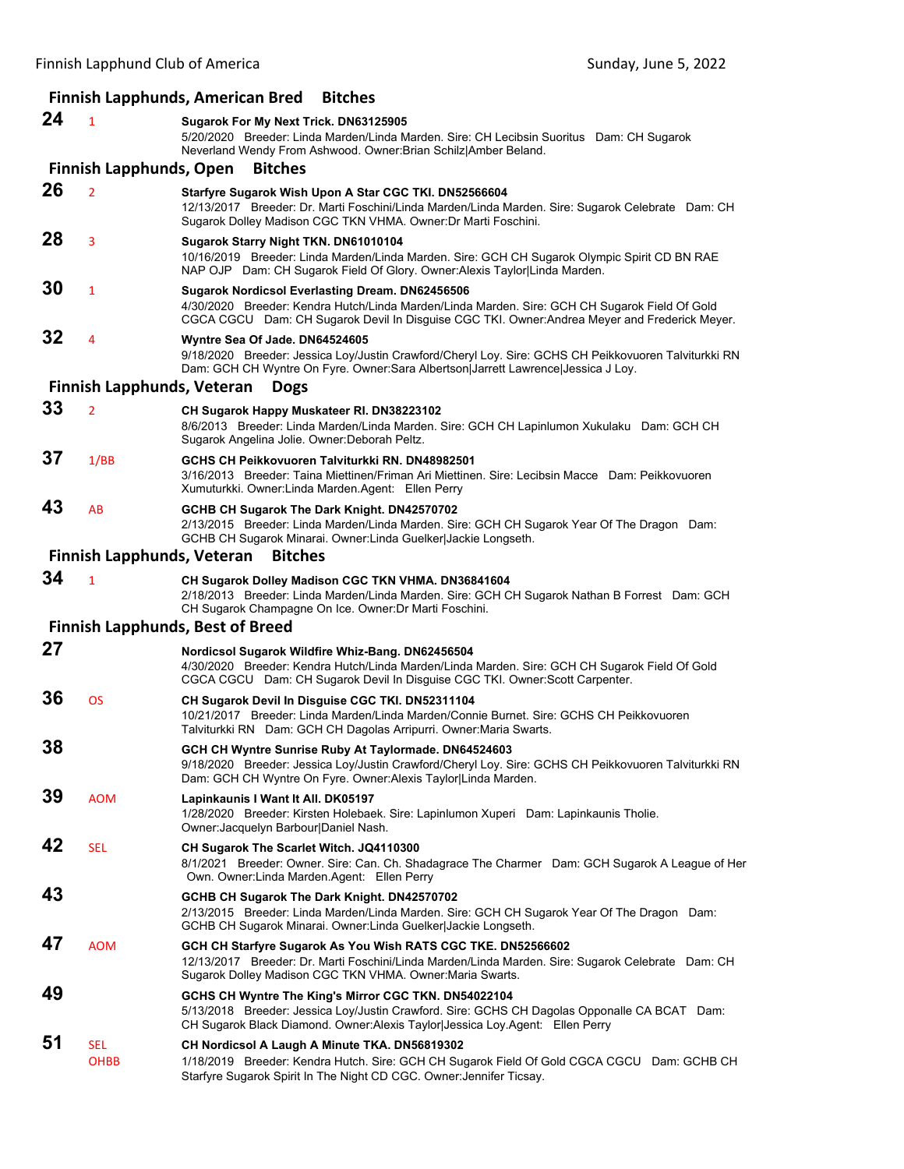## **Finnish Lapphunds, American Bred Bitches**

| 24 | $\mathbf{1}$                      | Sugarok For My Next Trick. DN63125905<br>5/20/2020 Breeder: Linda Marden/Linda Marden. Sire: CH Lecibsin Suoritus Dam: CH Sugarok<br>Neverland Wendy From Ashwood. Owner: Brian Schilz Amber Beland.                                              |
|----|-----------------------------------|---------------------------------------------------------------------------------------------------------------------------------------------------------------------------------------------------------------------------------------------------|
|    | <b>Finnish Lapphunds, Open</b>    | <b>Bitches</b>                                                                                                                                                                                                                                    |
| 26 | $\overline{2}$                    | Starfyre Sugarok Wish Upon A Star CGC TKI. DN52566604<br>12/13/2017 Breeder: Dr. Marti Foschini/Linda Marden/Linda Marden. Sire: Sugarok Celebrate Dam: CH<br>Sugarok Dolley Madison CGC TKN VHMA. Owner: Dr Marti Foschini.                      |
| 28 | 3                                 | Sugarok Starry Night TKN. DN61010104<br>10/16/2019 Breeder: Linda Marden/Linda Marden. Sire: GCH CH Sugarok Olympic Spirit CD BN RAE<br>NAP OJP Dam: CH Sugarok Field Of Glory. Owner: Alexis Taylor Linda Marden.                                |
| 30 | $\mathbf{1}$                      | Sugarok Nordicsol Everlasting Dream. DN62456506<br>4/30/2020 Breeder: Kendra Hutch/Linda Marden/Linda Marden. Sire: GCH CH Sugarok Field Of Gold<br>CGCA CGCU Dam: CH Sugarok Devil In Disguise CGC TKI. Owner: Andrea Meyer and Frederick Meyer. |
| 32 | 4                                 | Wyntre Sea Of Jade. DN64524605<br>9/18/2020 Breeder: Jessica Loy/Justin Crawford/Cheryl Loy. Sire: GCHS CH Peikkovuoren Talviturkki RN<br>Dam: GCH CH Wyntre On Fyre. Owner:Sara Albertson Jarrett Lawrence Jessica J Loy.                        |
|    | <b>Finnish Lapphunds, Veteran</b> | <b>Dogs</b>                                                                                                                                                                                                                                       |
| 33 | $\overline{2}$                    | CH Sugarok Happy Muskateer RI. DN38223102<br>8/6/2013 Breeder: Linda Marden/Linda Marden. Sire: GCH CH Lapinlumon Xukulaku Dam: GCH CH<br>Sugarok Angelina Jolie. Owner:Deborah Peltz.                                                            |
| 37 | 1/BB                              | GCHS CH Peikkovuoren Talviturkki RN. DN48982501<br>3/16/2013 Breeder: Taina Miettinen/Friman Ari Miettinen. Sire: Lecibsin Macce Dam: Peikkovuoren<br>Xumuturkki. Owner: Linda Marden. Agent: Ellen Perry                                         |
| 43 | AB                                | GCHB CH Sugarok The Dark Knight. DN42570702<br>2/13/2015 Breeder: Linda Marden/Linda Marden. Sire: GCH CH Sugarok Year Of The Dragon Dam:<br>GCHB CH Sugarok Minarai. Owner: Linda Guelker Jackie Longseth.                                       |
|    | <b>Finnish Lapphunds, Veteran</b> | <b>Bitches</b>                                                                                                                                                                                                                                    |
| 34 | $\mathbf{1}$                      | CH Sugarok Dolley Madison CGC TKN VHMA. DN36841604<br>2/18/2013 Breeder: Linda Marden/Linda Marden. Sire: GCH CH Sugarok Nathan B Forrest Dam: GCH<br>CH Sugarok Champagne On Ice. Owner: Dr Marti Foschini.                                      |
|    |                                   | <b>Finnish Lapphunds, Best of Breed</b>                                                                                                                                                                                                           |
| 27 |                                   | Nordicsol Sugarok Wildfire Whiz-Bang. DN62456504<br>4/30/2020 Breeder: Kendra Hutch/Linda Marden/Linda Marden. Sire: GCH CH Sugarok Field Of Gold<br>CGCA CGCU Dam: CH Sugarok Devil In Disguise CGC TKI. Owner:Scott Carpenter.                  |
| 36 | <b>OS</b>                         | CH Sugarok Devil In Disguise CGC TKI. DN52311104<br>10/21/2017 Breeder: Linda Marden/Linda Marden/Connie Burnet. Sire: GCHS CH Peikkovuoren<br>Talviturkki RN Dam: GCH CH Dagolas Arripurri. Owner: Maria Swarts.                                 |
| 38 |                                   | GCH CH Wyntre Sunrise Ruby At Taylormade. DN64524603<br>9/18/2020 Breeder: Jessica Loy/Justin Crawford/Cheryl Loy. Sire: GCHS CH Peikkovuoren Talviturkki RN<br>Dam: GCH CH Wyntre On Fyre. Owner: Alexis Taylor Linda Marden.                    |
| 39 | <b>AOM</b>                        | Lapinkaunis I Want It All. DK05197<br>1/28/2020 Breeder: Kirsten Holebaek. Sire: Lapinlumon Xuperi Dam: Lapinkaunis Tholie.<br>Owner: Jacquelyn Barbour Daniel Nash.                                                                              |
| 42 | <b>SEL</b>                        | CH Sugarok The Scarlet Witch. JQ4110300<br>8/1/2021 Breeder: Owner. Sire: Can. Ch. Shadagrace The Charmer Dam: GCH Sugarok A League of Her<br>Own. Owner: Linda Marden. Agent: Ellen Perry                                                        |
| 43 |                                   | GCHB CH Sugarok The Dark Knight. DN42570702<br>2/13/2015 Breeder: Linda Marden/Linda Marden. Sire: GCH CH Sugarok Year Of The Dragon Dam:<br>GCHB CH Sugarok Minarai. Owner: Linda Guelker Jackie Longseth.                                       |
| 47 | <b>AOM</b>                        | GCH CH Starfyre Sugarok As You Wish RATS CGC TKE. DN52566602<br>12/13/2017 Breeder: Dr. Marti Foschini/Linda Marden/Linda Marden. Sire: Sugarok Celebrate Dam: CH<br>Sugarok Dolley Madison CGC TKN VHMA. Owner: Maria Swarts.                    |
| 49 |                                   | GCHS CH Wyntre The King's Mirror CGC TKN. DN54022104<br>5/13/2018 Breeder: Jessica Loy/Justin Crawford. Sire: GCHS CH Dagolas Opponalle CA BCAT Dam:<br>CH Sugarok Black Diamond. Owner: Alexis Taylor Jessica Loy. Agent: Ellen Perry            |
| 51 | <b>SEL</b><br><b>OHBB</b>         | CH Nordicsol A Laugh A Minute TKA. DN56819302<br>1/18/2019 Breeder: Kendra Hutch. Sire: GCH CH Sugarok Field Of Gold CGCA CGCU Dam: GCHB CH<br>Starfyre Sugarok Spirit In The Night CD CGC. Owner: Jennifer Ticsay.                               |